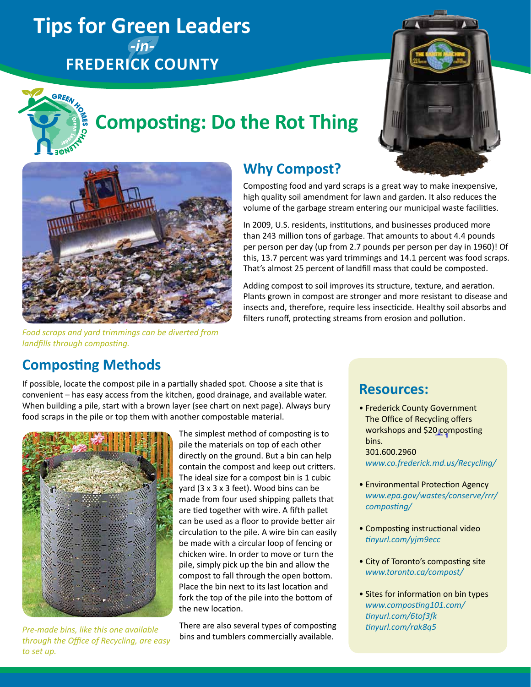## **Tips for Green Leaders**  *-in-***Frederick County**





# **Composting: Do the Rot Thing**



*Food scraps and yard trimmings can be diverted from landfills through composting.*

### **Why Compost?**

Composting food and yard scraps is a great way to make inexpensive, high quality soil amendment for lawn and garden. It also reduces the volume of the garbage stream entering our municipal waste facilities.

In 2009, U.S. residents, institutions, and businesses produced more than 243 million tons of garbage. That amounts to about 4.4 pounds per person per day (up from 2.7 pounds per person per day in 1960)! Of this, 13.7 percent was yard trimmings and 14.1 percent was food scraps. That's almost 25 percent of landfill mass that could be composted.

Adding compost to soil improves its structure, texture, and aeration. Plants grown in compost are stronger and more resistant to disease and insects and, therefore, require less insecticide. Healthy soil absorbs and filters runoff, protecting streams from erosion and pollution.

### **Composting Methods**

If possible, locate the compost pile in a partially shaded spot. Choose a site that is convenient – has easy access from the kitchen, good drainage, and available water. When building a pile, start with a brown layer (see chart on next page). Always bury food scraps in the pile or top them with another compostable material.



*through the Office of Recycling, are easy to set up.*

The simplest method of composting is to pile the materials on top of each other directly on the ground. But a bin can help contain the compost and keep out critters. The ideal size for a compost bin is 1 cubic yard (3 x 3 x 3 feet). Wood bins can be made from four used shipping pallets that are tied together with wire. A fifth pallet can be used as a floor to provide better air circulation to the pile. A wire bin can easily be made with a circular loop of fencing or chicken wire. In order to move or turn the pile, simply pick up the bin and allow the compost to fall through the open bottom. Place the bin next to its last location and fork the top of the pile into the bottom of the new location.

There are also several types of composting bins and tumblers commercially available. *Pre-made bins, like this one available* 

### **Resources:**

- Frederick County Government The Office of Recycling offers workshops and \$20 composting bins. 301.600.2960 *[www.co.frederick.md.us/Recycling/](http://www.co.frederick.md.us/Recycling/)*
- Environmental Protection Agency *[www.epa.gov/wastes/conserve/rrr/](http://www.epa.gov/wastes/conserve/rrr/composting/) [composting/](http://www.epa.gov/wastes/conserve/rrr/composting/)*
- Composting instructional video *[tinyurl.com/yjm9ecc](http://tinyurl.com/yjm9ecc)*
- City of Toronto's composting site *[www.toronto.ca/compost/](http://www.toronto.ca/compost/)*
- Sites for information on bin types *[www.composting101.com/](http://www.composting101.com/) [tinyurl.com/6tof3fk](http://www.tinyurl.com/6tof3fk)  [tinyurl.com/rak8q5](http://tinyurl.com/rak8q5)*